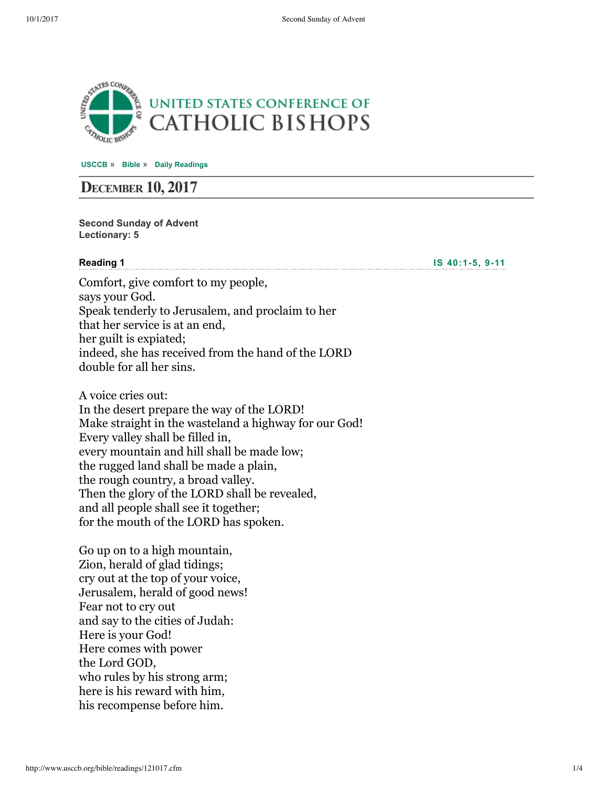

**[USCCB](http://www.usccb.org/)** » **[Bible](http://www.usccb.org/bible/)** » **[Daily Readings](http://www.usccb.org/bible/readings/)**

# **DECEMBER 10, 2017**

**Second Sunday of Advent Lectionary: 5**

#### **Reading 1**

**IS** 40:1-5, 9-11

Comfort, give comfort to my people, says your God. Speak tenderly to Jerusalem, and proclaim to her that her service is at an end, her guilt is expiated; indeed, she has received from the hand of the LORD double for all her sins.

A voice cries out: In the desert prepare the way of the LORD! Make straight in the wasteland a highway for our God! Every valley shall be filled in, every mountain and hill shall be made low; the rugged land shall be made a plain, the rough country, a broad valley. Then the glory of the LORD shall be revealed, and all people shall see it together; for the mouth of the LORD has spoken.

Go up on to a high mountain, Zion, herald of glad tidings; cry out at the top of your voice, Jerusalem, herald of good news! Fear not to cry out and say to the cities of Judah: Here is your God! Here comes with power the Lord GOD, who rules by his strong arm; here is his reward with him, his recompense before him.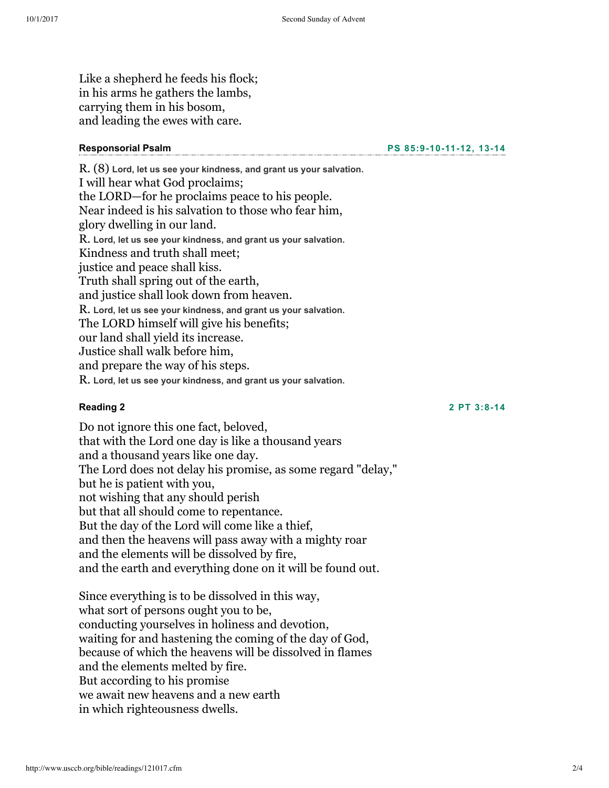Like a shepherd he feeds his flock; in his arms he gathers the lambs, carrying them in his bosom, and leading the ewes with care.

#### **Responsorial Psalm**

**PS [85:9101112,](http://www.usccb.org/bible/psalms/85:9) 1314**

R. (8) **Lord, let us see your kindness, and grant us your salvation.** I will hear what God proclaims; the LORD—for he proclaims peace to his people. Near indeed is his salvation to those who fear him, glory dwelling in our land. R. **Lord, let us see your kindness, and grant us your salvation.** Kindness and truth shall meet; justice and peace shall kiss. Truth shall spring out of the earth, and justice shall look down from heaven. R. **Lord, let us see your kindness, and grant us your salvation.** The LORD himself will give his benefits; our land shall yield its increase. Justice shall walk before him, and prepare the way of his steps. R. **Lord, let us see your kindness, and grant us your salvation.**

#### **Reading 2**

**2 PT [3:814](http://www.usccb.org/bible/2peter/3:8)**

Do not ignore this one fact, beloved, that with the Lord one day is like a thousand years and a thousand years like one day. The Lord does not delay his promise, as some regard "delay," but he is patient with you, not wishing that any should perish but that all should come to repentance. But the day of the Lord will come like a thief, and then the heavens will pass away with a mighty roar and the elements will be dissolved by fire, and the earth and everything done on it will be found out.

Since everything is to be dissolved in this way, what sort of persons ought you to be, conducting yourselves in holiness and devotion, waiting for and hastening the coming of the day of God, because of which the heavens will be dissolved in flames and the elements melted by fire. But according to his promise we await new heavens and a new earth in which righteousness dwells.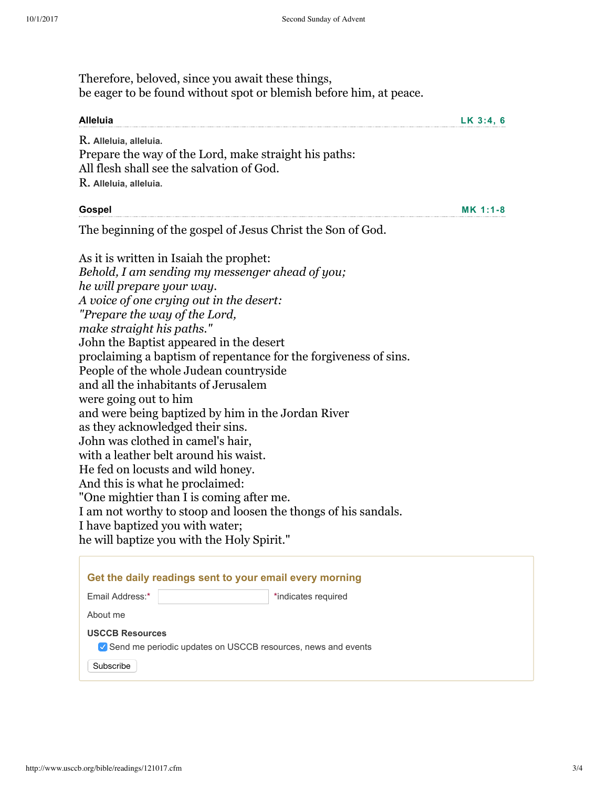**MK [1:18](http://www.usccb.org/bible/mark/1:1)**

Therefore, beloved, since you await these things, be eager to be found without spot or blemish before him, at peace.

| Alleluia                                              | $LK$ 3:4, 6 |
|-------------------------------------------------------|-------------|
| R. Alleluia, alleluia.                                |             |
| Prepare the way of the Lord, make straight his paths: |             |
| All flesh shall see the salvation of God.             |             |
| R. Alleluia, alleluia.                                |             |
|                                                       |             |

#### **Gospel**

The beginning of the gospel of Jesus Christ the Son of God.

As it is written in Isaiah the prophet: *Behold, I am sending my messenger ahead of you; he will prepare your way. A voice of one crying out in the desert: "Prepare the way of the Lord, make straight his paths."* John the Baptist appeared in the desert proclaiming a baptism of repentance for the forgiveness of sins. People of the whole Judean countryside and all the inhabitants of Jerusalem were going out to him and were being baptized by him in the Jordan River as they acknowledged their sins. John was clothed in camel's hair, with a leather belt around his waist. He fed on locusts and wild honey. And this is what he proclaimed: "One mightier than I is coming after me. I am not worthy to stoop and loosen the thongs of his sandals. I have baptized you with water; he will baptize you with the Holy Spirit."

| Get the daily readings sent to your email every morning                                               |                     |
|-------------------------------------------------------------------------------------------------------|---------------------|
| Email Address:*                                                                                       | *indicates required |
| About me                                                                                              |                     |
| <b>USCCB Resources</b><br>✔ Send me periodic updates on USCCB resources, news and events<br>Subscribe |                     |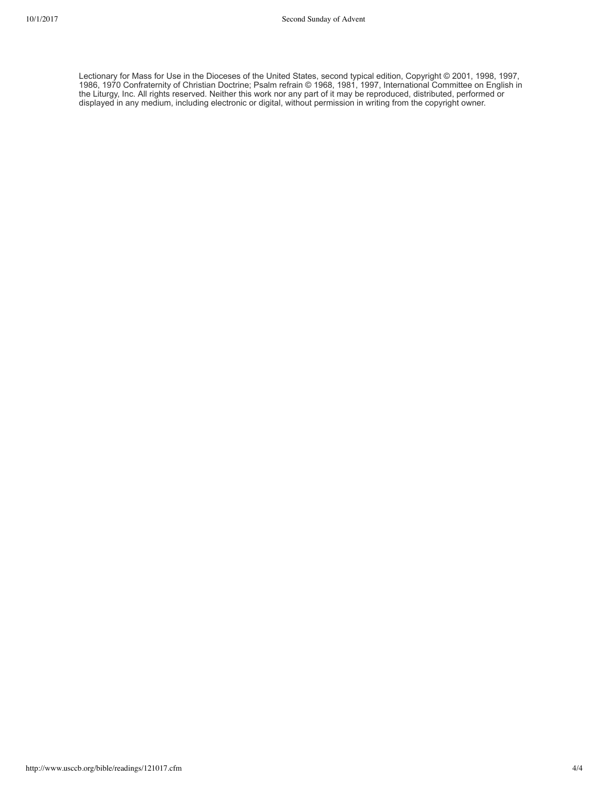Lectionary for Mass for Use in the Dioceses of the United States, second typical edition, Copyright © 2001, 1998, 1997, 1986, 1970 Confraternity of Christian Doctrine; Psalm refrain © 1968, 1981, 1997, International Committee on English in the Liturgy, Inc. All rights reserved. Neither this work nor any part of it may be reproduced, distributed, performed or displayed in any medium, including electronic or digital, without permission in writing from the copyright owner.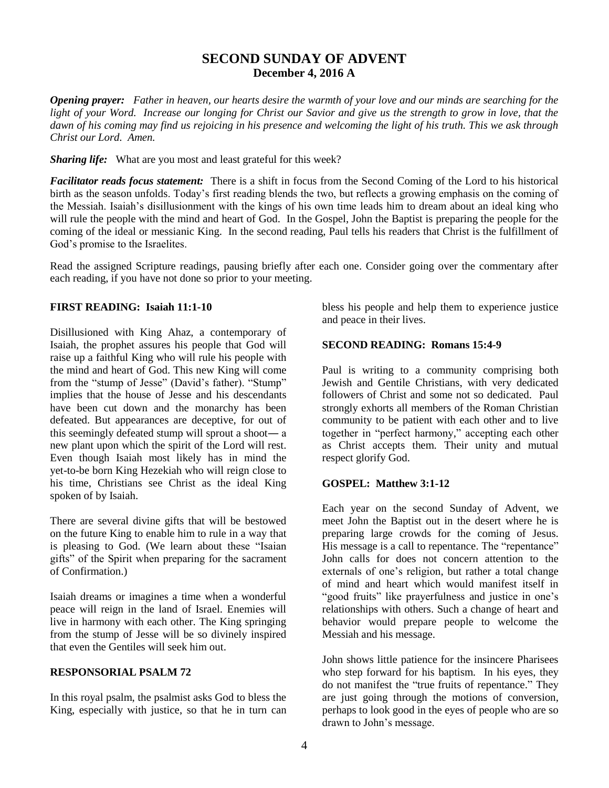# **SECOND SUNDAY OF ADVENT December 4, 2016 A**

*Opening prayer: Father in heaven, our hearts desire the warmth of your love and our minds are searching for the light of your Word. Increase our longing for Christ our Savior and give us the strength to grow in love, that the dawn of his coming may find us rejoicing in his presence and welcoming the light of his truth. This we ask through Christ our Lord. Amen.*

*Sharing life:* What are you most and least grateful for this week?

*Facilitator reads focus statement:* There is a shift in focus from the Second Coming of the Lord to his historical birth as the season unfolds. Today's first reading blends the two, but reflects a growing emphasis on the coming of the Messiah. Isaiah's disillusionment with the kings of his own time leads him to dream about an ideal king who will rule the people with the mind and heart of God. In the Gospel, John the Baptist is preparing the people for the coming of the ideal or messianic King. In the second reading, Paul tells his readers that Christ is the fulfillment of God's promise to the Israelites.

Read the assigned Scripture readings, pausing briefly after each one. Consider going over the commentary after each reading, if you have not done so prior to your meeting.

## **FIRST READING: Isaiah 11:1-10**

Disillusioned with King Ahaz, a contemporary of Isaiah, the prophet assures his people that God will raise up a faithful King who will rule his people with the mind and heart of God. This new King will come from the "stump of Jesse" (David's father). "Stump" implies that the house of Jesse and his descendants have been cut down and the monarchy has been defeated. But appearances are deceptive, for out of this seemingly defeated stump will sprout a shoot― a new plant upon which the spirit of the Lord will rest. Even though Isaiah most likely has in mind the yet-to-be born King Hezekiah who will reign close to his time, Christians see Christ as the ideal King spoken of by Isaiah.

There are several divine gifts that will be bestowed on the future King to enable him to rule in a way that is pleasing to God. (We learn about these "Isaian gifts" of the Spirit when preparing for the sacrament of Confirmation.)

Isaiah dreams or imagines a time when a wonderful peace will reign in the land of Israel. Enemies will live in harmony with each other. The King springing from the stump of Jesse will be so divinely inspired that even the Gentiles will seek him out.

## **RESPONSORIAL PSALM 72**

In this royal psalm, the psalmist asks God to bless the King, especially with justice, so that he in turn can bless his people and help them to experience justice and peace in their lives.

# **SECOND READING: Romans 15:4-9**

Paul is writing to a community comprising both Jewish and Gentile Christians, with very dedicated followers of Christ and some not so dedicated. Paul strongly exhorts all members of the Roman Christian community to be patient with each other and to live together in "perfect harmony," accepting each other as Christ accepts them. Their unity and mutual respect glorify God.

## **GOSPEL: Matthew 3:1-12**

Each year on the second Sunday of Advent, we meet John the Baptist out in the desert where he is preparing large crowds for the coming of Jesus. His message is a call to repentance. The "repentance" John calls for does not concern attention to the externals of one's religion, but rather a total change of mind and heart which would manifest itself in "good fruits" like prayerfulness and justice in one's relationships with others. Such a change of heart and behavior would prepare people to welcome the Messiah and his message.

John shows little patience for the insincere Pharisees who step forward for his baptism. In his eyes, they do not manifest the "true fruits of repentance." They are just going through the motions of conversion, perhaps to look good in the eyes of people who are so drawn to John's message.